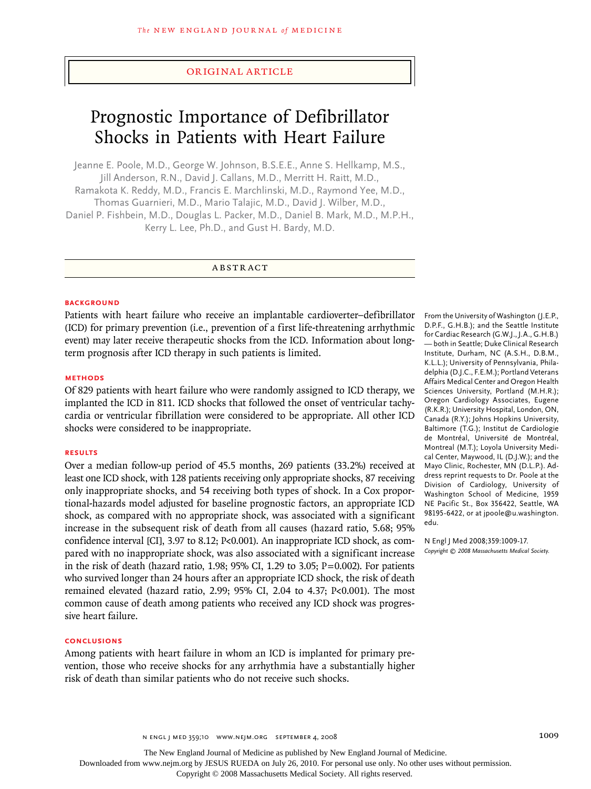# original article

# Prognostic Importance of Defibrillator Shocks in Patients with Heart Failure

Jeanne E. Poole, M.D., George W. Johnson, B.S.E.E., Anne S. Hellkamp, M.S., Jill Anderson, R.N., David J. Callans, M.D., Merritt H. Raitt, M.D., Ramakota K. Reddy, M.D., Francis E. Marchlinski, M.D., Raymond Yee, M.D., Thomas Guarnieri, M.D., Mario Talajic, M.D., David J. Wilber, M.D., Daniel P. Fishbein, M.D., Douglas L. Packer, M.D., Daniel B. Mark, M.D., M.P.H., Kerry L. Lee, Ph.D., and Gust H. Bardy, M.D.

ABSTRACT

#### **BACKGROUND**

Patients with heart failure who receive an implantable cardioverter–defibrillator (ICD) for primary prevention (i.e., prevention of a first life-threatening arrhythmic event) may later receive therapeutic shocks from the ICD. Information about longterm prognosis after ICD therapy in such patients is limited.

## **Methods**

Of 829 patients with heart failure who were randomly assigned to ICD therapy, we implanted the ICD in 811. ICD shocks that followed the onset of ventricular tachycardia or ventricular fibrillation were considered to be appropriate. All other ICD shocks were considered to be inappropriate.

## **Results**

Over a median follow-up period of 45.5 months, 269 patients (33.2%) received at least one ICD shock, with 128 patients receiving only appropriate shocks, 87 receiving only inappropriate shocks, and 54 receiving both types of shock. In a Cox proportional-hazards model adjusted for baseline prognostic factors, an appropriate ICD shock, as compared with no appropriate shock, was associated with a significant increase in the subsequent risk of death from all causes (hazard ratio, 5.68; 95% confidence interval [CI], 3.97 to 8.12; P<0.001). An inappropriate ICD shock, as compared with no inappropriate shock, was also associated with a significant increase in the risk of death (hazard ratio,  $1.98$ ;  $95\%$  CI,  $1.29$  to  $3.05$ ;  $P=0.002$ ). For patients who survived longer than 24 hours after an appropriate ICD shock, the risk of death remained elevated (hazard ratio, 2.99; 95% CI, 2.04 to 4.37; P<0.001). The most common cause of death among patients who received any ICD shock was progressive heart failure.

### **Conclusions**

Among patients with heart failure in whom an ICD is implanted for primary prevention, those who receive shocks for any arrhythmia have a substantially higher risk of death than similar patients who do not receive such shocks.

From the University of Washington (J.E.P., D.P.F., G.H.B.); and the Seattle Institute for Cardiac Research (G.W.J., J.A., G.H.B.) — both in Seattle; Duke Clinical Research Institute, Durham, NC (A.S.H., D.B.M., K.L.L.); University of Pennsylvania, Philadelphia (D.J.C., F.E.M.); Portland Veterans Affairs Medical Center and Oregon Health Sciences University, Portland (M.H.R.); Oregon Cardiology Associates, Eugene (R.K.R.); University Hospital, London, ON, Canada (R.Y.); Johns Hopkins University, Baltimore (T.G.); Institut de Cardiologie de Montréal, Université de Montréal, Montreal (M.T.); Loyola University Medical Center, Maywood, IL (D.J.W.); and the Mayo Clinic, Rochester, MN (D.L.P.). Address reprint requests to Dr. Poole at the Division of Cardiology, University of Washington School of Medicine, 1959 NE Pacific St., Box 356422, Seattle, WA 98195-6422, or at jpoole@u.washington. edu.

N Engl J Med 2008;359:1009-17. *Copyright © 2008 Massachusetts Medical Society.*

n engl j med 359;10 www.nejm.org september 4, 2008 1009 1009 1009

The New England Journal of Medicine as published by New England Journal of Medicine.

Downloaded from www.nejm.org by JESUS RUEDA on July 26, 2010. For personal use only. No other uses without permission.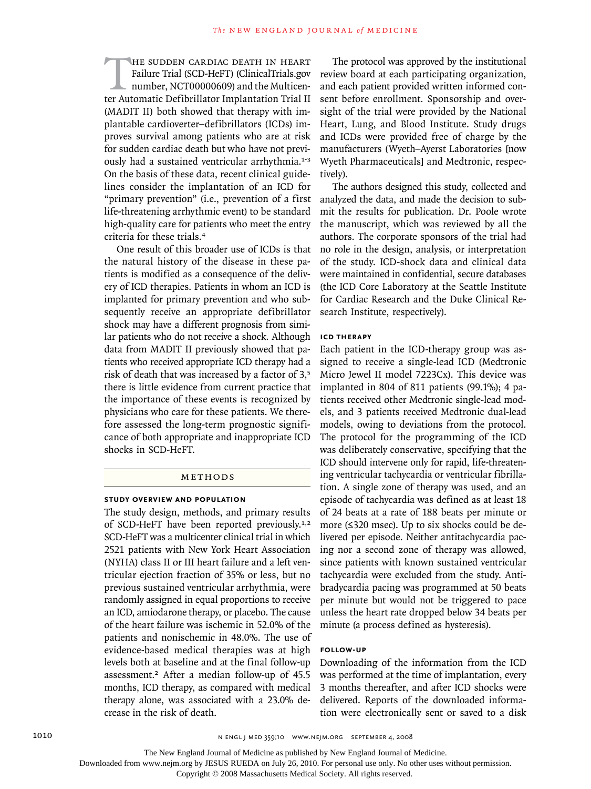THE SUDDEN CARDIAC DEATH IN HEART<br>Failure Trial (SCD-HeFT) (ClinicalTrials.gov<br>number, NCT00000609) and the Multicenter<br>Automatic Defibrillator Implantation Trial II Failure Trial (SCD-HeFT) (ClinicalTrials.gov number, NCT00000609) and the Multicen-(MADIT II) both showed that therapy with implantable cardioverter–defibrillators (ICDs) improves survival among patients who are at risk for sudden cardiac death but who have not previously had a sustained ventricular arrhythmia.1-3 On the basis of these data, recent clinical guidelines consider the implantation of an ICD for "primary prevention" (i.e., prevention of a first life-threatening arrhythmic event) to be standard high-quality care for patients who meet the entry criteria for these trials.<sup>4</sup>

One result of this broader use of ICDs is that the natural history of the disease in these patients is modified as a consequence of the delivery of ICD therapies. Patients in whom an ICD is implanted for primary prevention and who subsequently receive an appropriate defibrillator shock may have a different prognosis from similar patients who do not receive a shock. Although data from MADIT II previously showed that patients who received appropriate ICD therapy had a risk of death that was increased by a factor of 3,<sup>5</sup> there is little evidence from current practice that the importance of these events is recognized by physicians who care for these patients. We therefore assessed the long-term prognostic significance of both appropriate and inappropriate ICD shocks in SCD-HeFT.

#### **METHODS**

#### **Study Overview and Population**

The study design, methods, and primary results of SCD-HeFT have been reported previously.<sup>1,2</sup> SCD-HeFT was a multicenter clinical trial in which 2521 patients with New York Heart Association (NYHA) class II or III heart failure and a left ventricular ejection fraction of 35% or less, but no previous sustained ventricular arrhythmia, were randomly assigned in equal proportions to receive an ICD, amiodarone therapy, or placebo. The cause of the heart failure was ischemic in 52.0% of the patients and nonischemic in 48.0%. The use of evidence-based medical therapies was at high levels both at baseline and at the final follow-up assessment.2 After a median follow-up of 45.5 months, ICD therapy, as compared with medical therapy alone, was associated with a 23.0% decrease in the risk of death.

The protocol was approved by the institutional review board at each participating organization, and each patient provided written informed consent before enrollment. Sponsorship and oversight of the trial were provided by the National Heart, Lung, and Blood Institute. Study drugs and ICDs were provided free of charge by the manufacturers (Wyeth–Ayerst Laboratories [now Wyeth Pharmaceuticals] and Medtronic, respectively).

The authors designed this study, collected and analyzed the data, and made the decision to submit the results for publication. Dr. Poole wrote the manuscript, which was reviewed by all the authors. The corporate sponsors of the trial had no role in the design, analysis, or interpretation of the study. ICD-shock data and clinical data were maintained in confidential, secure databases (the ICD Core Laboratory at the Seattle Institute for Cardiac Research and the Duke Clinical Research Institute, respectively).

#### **ICD Therapy**

Each patient in the ICD-therapy group was assigned to receive a single-lead ICD (Medtronic Micro Jewel II model 7223Cx). This device was implanted in 804 of 811 patients (99.1%); 4 patients received other Medtronic single-lead models, and 3 patients received Medtronic dual-lead models, owing to deviations from the protocol. The protocol for the programming of the ICD was deliberately conservative, specifying that the ICD should intervene only for rapid, life-threatening ventricular tachycardia or ventricular fibrillation. A single zone of therapy was used, and an episode of tachycardia was defined as at least 18 of 24 beats at a rate of 188 beats per minute or more (≤320 msec). Up to six shocks could be delivered per episode. Neither antitachycardia pacing nor a second zone of therapy was allowed, since patients with known sustained ventricular tachycardia were excluded from the study. Antibradycardia pacing was programmed at 50 beats per minute but would not be triggered to pace unless the heart rate dropped below 34 beats per minute (a process defined as hysteresis).

#### **Follow-up**

Downloading of the information from the ICD was performed at the time of implantation, every 3 months thereafter, and after ICD shocks were delivered. Reports of the downloaded information were electronically sent or saved to a disk

The New England Journal of Medicine as published by New England Journal of Medicine.

Downloaded from www.nejm.org by JESUS RUEDA on July 26, 2010. For personal use only. No other uses without permission.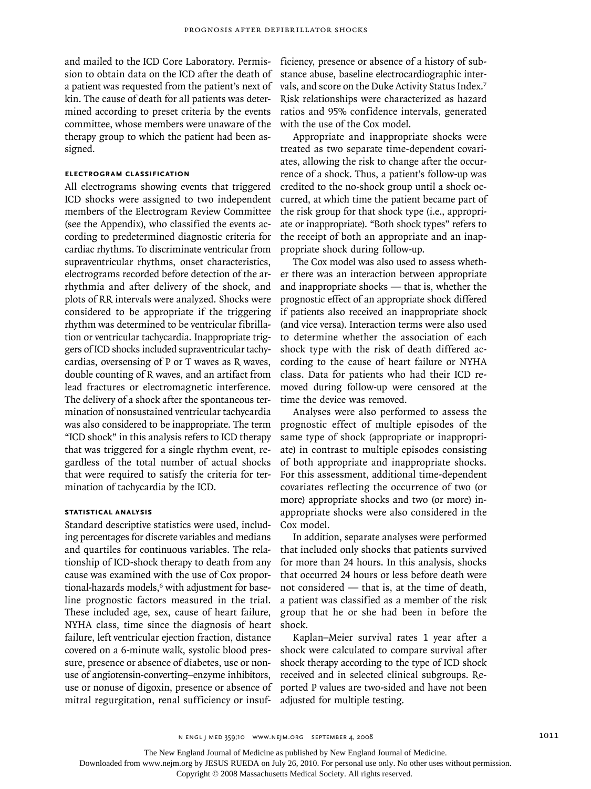and mailed to the ICD Core Laboratory. Permission to obtain data on the ICD after the death of a patient was requested from the patient's next of kin. The cause of death for all patients was determined according to preset criteria by the events committee, whose members were unaware of the therapy group to which the patient had been assigned.

### **Electrogram Classification**

All electrograms showing events that triggered ICD shocks were assigned to two independent members of the Electrogram Review Committee (see the Appendix), who classified the events according to predetermined diagnostic criteria for cardiac rhythms. To discriminate ventricular from supraventricular rhythms, onset characteristics, electrograms recorded before detection of the arrhythmia and after delivery of the shock, and plots of RR intervals were analyzed. Shocks were considered to be appropriate if the triggering rhythm was determined to be ventricular fibrillation or ventricular tachycardia. Inappropriate triggers of ICD shocks included supraventricular tachycardias, oversensing of P or T waves as R waves, double counting of R waves, and an artifact from lead fractures or electromagnetic interference. The delivery of a shock after the spontaneous termination of nonsustained ventricular tachycardia was also considered to be inappropriate. The term "ICD shock" in this analysis refers to ICD therapy that was triggered for a single rhythm event, regardless of the total number of actual shocks that were required to satisfy the criteria for termination of tachycardia by the ICD.

## **Statistical Analysis**

Standard descriptive statistics were used, including percentages for discrete variables and medians and quartiles for continuous variables. The relationship of ICD-shock therapy to death from any cause was examined with the use of Cox proportional-hazards models,<sup>6</sup> with adjustment for baseline prognostic factors measured in the trial. These included age, sex, cause of heart failure, NYHA class, time since the diagnosis of heart failure, left ventricular ejection fraction, distance covered on a 6-minute walk, systolic blood pressure, presence or absence of diabetes, use or nonuse of angiotensin-converting–enzyme inhibitors, use or nonuse of digoxin, presence or absence of mitral regurgitation, renal sufficiency or insufficiency, presence or absence of a history of substance abuse, baseline electrocardiographic intervals, and score on the Duke Activity Status Index.<sup>7</sup> Risk relationships were characterized as hazard ratios and 95% confidence intervals, generated with the use of the Cox model.

Appropriate and inappropriate shocks were treated as two separate time-dependent covariates, allowing the risk to change after the occurrence of a shock. Thus, a patient's follow-up was credited to the no-shock group until a shock occurred, at which time the patient became part of the risk group for that shock type (i.e., appropriate or inappropriate). "Both shock types" refers to the receipt of both an appropriate and an inappropriate shock during follow-up.

The Cox model was also used to assess whether there was an interaction between appropriate and inappropriate shocks — that is, whether the prognostic effect of an appropriate shock differed if patients also received an inappropriate shock (and vice versa). Interaction terms were also used to determine whether the association of each shock type with the risk of death differed according to the cause of heart failure or NYHA class. Data for patients who had their ICD removed during follow-up were censored at the time the device was removed.

Analyses were also performed to assess the prognostic effect of multiple episodes of the same type of shock (appropriate or inappropriate) in contrast to multiple episodes consisting of both appropriate and inappropriate shocks. For this assessment, additional time-dependent covariates reflecting the occurrence of two (or more) appropriate shocks and two (or more) inappropriate shocks were also considered in the Cox model.

In addition, separate analyses were performed that included only shocks that patients survived for more than 24 hours. In this analysis, shocks that occurred 24 hours or less before death were not considered — that is, at the time of death, a patient was classified as a member of the risk group that he or she had been in before the shock.

Kaplan–Meier survival rates 1 year after a shock were calculated to compare survival after shock therapy according to the type of ICD shock received and in selected clinical subgroups. Reported P values are two-sided and have not been adjusted for multiple testing.

N ENGL J MED 359;10 WWW.NEIM.ORG SEPTEMBER 4, 2008 1011

The New England Journal of Medicine as published by New England Journal of Medicine.

Downloaded from www.nejm.org by JESUS RUEDA on July 26, 2010. For personal use only. No other uses without permission.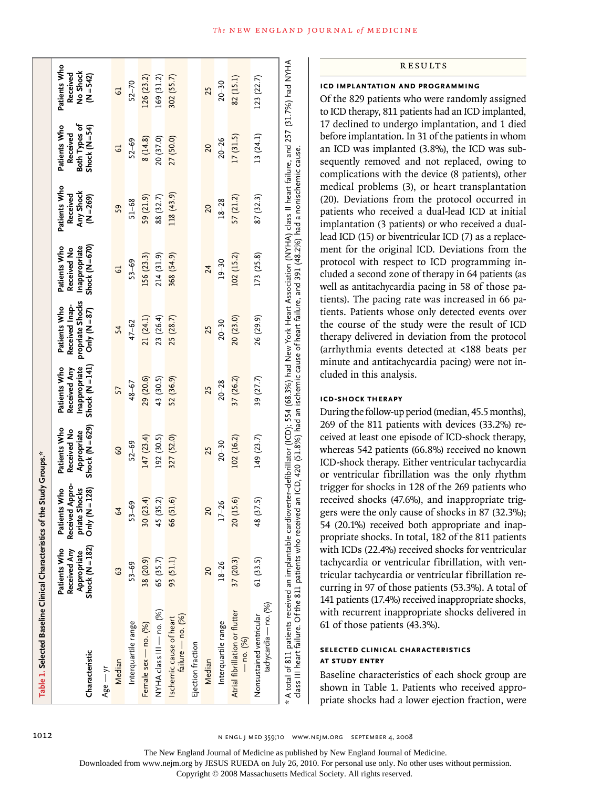| Table 1. Selected Baseline Clinical Characteristics of the Study Groups.*                                                                                                                                                                                                                                                                                |                                                                  |                                                                  |                                                                 |                                                                  |                                                                   |                                                                   |                                                    |                                                               |                                                     |
|----------------------------------------------------------------------------------------------------------------------------------------------------------------------------------------------------------------------------------------------------------------------------------------------------------------------------------------------------------|------------------------------------------------------------------|------------------------------------------------------------------|-----------------------------------------------------------------|------------------------------------------------------------------|-------------------------------------------------------------------|-------------------------------------------------------------------|----------------------------------------------------|---------------------------------------------------------------|-----------------------------------------------------|
| Characteristic                                                                                                                                                                                                                                                                                                                                           | Shock $(N = 182)$<br>Patients Who<br>Received Any<br>Appropriate | Received Appro-<br>priate Shocks<br>Patients Who<br>Only (N=128) | Shock $(N = 629)$<br>Patients Who<br>Received No<br>Appropriate | Shock $(N=141)$<br>Inappropriate<br>Patients Who<br>Received Any | propriate Shocks<br>Received Inap-<br>Patients Who<br>Only (N=87) | Shock $(N = 670)$<br>Inappropriate<br>Patients Who<br>Received No | Patients Who<br>Any Shock<br>Received<br>(N = 269) | Both Types of<br>Shock $(N = 54)$<br>Patients Who<br>Received | Patients Who<br>No Shock<br>Received<br>$(N = 542)$ |
| $Age - yr$                                                                                                                                                                                                                                                                                                                                               |                                                                  |                                                                  |                                                                 |                                                                  |                                                                   |                                                                   |                                                    |                                                               |                                                     |
| Median                                                                                                                                                                                                                                                                                                                                                   | 63                                                               | 3                                                                | SO                                                              | 57                                                               | 54                                                                | 5                                                                 | 59                                                 | 5                                                             | 5                                                   |
| Interquartile range                                                                                                                                                                                                                                                                                                                                      | $53 - 69$                                                        | $53 - 69$                                                        | $52 - 69$                                                       | 48-67                                                            | $47 - 62$                                                         | $53 - 69$                                                         | $51 - 68$                                          | $52 - 69$                                                     | $52 - 70$                                           |
| Female sex - no. (%)                                                                                                                                                                                                                                                                                                                                     | 38 (20.9)                                                        | 30(23.4)                                                         | 147(23.4)                                                       | 29 (20.6)                                                        | 21 (24.1)                                                         | 156(23.3)                                                         | 59 (21.9)                                          | 8(14.8)                                                       | 126(23.2)                                           |
| NYHA class III - no. (%)                                                                                                                                                                                                                                                                                                                                 | 65 (35.7)                                                        | 45 (35.2)                                                        | 192 (30.5)                                                      | 43 (30.5)                                                        | 23 (26.4)                                                         | 214 (31.9)                                                        | 88 (32.7)                                          | 20 (37.0)                                                     | 169 (31.2)                                          |
| $f$ ailure — no. $(%)$<br>Ischemic cause of heart                                                                                                                                                                                                                                                                                                        | 93(51.1)                                                         | 66 (51.6)                                                        | 327 (52.0)                                                      | 52 (36.9)                                                        | 25 (28.7)                                                         | 368 (54.9)                                                        | 118(43.9)                                          | 27 (50.0)                                                     | 302 (55.7)                                          |
| Ejection fraction                                                                                                                                                                                                                                                                                                                                        |                                                                  |                                                                  |                                                                 |                                                                  |                                                                   |                                                                   |                                                    |                                                               |                                                     |
| Median                                                                                                                                                                                                                                                                                                                                                   | 20                                                               | 20                                                               | 25                                                              | 25                                                               | 25                                                                | 24                                                                | 20                                                 | 20                                                            | 25                                                  |
| Interquartile range                                                                                                                                                                                                                                                                                                                                      | $18 - 26$                                                        | $17 - 26$                                                        | $20 - 30$                                                       | $20 - 28$                                                        | $20 - 30$                                                         | $19 - 30$                                                         | $18 - 28$                                          | $20 - 26$                                                     | $20 - 30$                                           |
| Atrial fibrillation or flutter<br>$-$ no. $(%)$                                                                                                                                                                                                                                                                                                          | 37(20.3)                                                         | 20 (15.6)                                                        | 102 (16.2)                                                      | 37 (26.2)                                                        | 20 (23.0)                                                         | 102 (15.2)                                                        | 57 (21.2)                                          | 17(31.5)                                                      | 82(15.1)                                            |
| tachycardia — no. (%)<br>Nonsustained ventricular                                                                                                                                                                                                                                                                                                        | 61 (33.5)                                                        | 48 (37.5)                                                        | 149 (23.7)                                                      | 39 (27.7)                                                        | 26 (29.9)                                                         | 173 (25.8)                                                        | 87(32.3)                                           | 13(24.1)                                                      | 123(22.7)                                           |
| * A total of 811 patients received an implantable cardioverter-defibrillator (1CD); 554 (68.3%) had New York Heart Association (NYHA) class II heart failure, and 257 (31.7%) had NYHA<br>class III heart failure. Of the 811 patients who received an ICD, 420 (51.8%) had an ischemic cause of heart failure, and 391 (48.2%) had a nonischemic cause. |                                                                  |                                                                  |                                                                 |                                                                  |                                                                   |                                                                   |                                                    |                                                               |                                                     |

### Results

#### **ICD Implantation and Programming**

Of the 829 patients who were randomly assigned to ICD therapy, 811 patients had an ICD implanted, 17 declined to undergo implantation, and 1 died before implantation. In 31 of the patients in whom an ICD was implanted (3.8%), the ICD was subsequently removed and not replaced, owing to complications with the device (8 patients), other medical problems (3), or heart transplantation (20). Deviations from the protocol occurred in patients who received a dual-lead ICD at initial implantation (3 patients) or who received a duallead ICD (15) or biventricular ICD (7) as a replacement for the original ICD. Deviations from the protocol with respect to ICD programming included a second zone of therapy in 64 patients (as well as antitachycardia pacing in 58 of those patients). The pacing rate was increased in 66 patients. Patients whose only detected events over the course of the study were the result of ICD therapy delivered in deviation from the protocol (arrhythmia events detected at <188 beats per minute and antitachycardia pacing) were not included in this analysis.

#### **ICD-Shock Therapy**

During the follow-up period (median, 45.5 months), 269 of the 811 patients with devices (33.2%) received at least one episode of ICD-shock therapy, whereas 542 patients (66.8%) received no known ICD-shock therapy. Either ventricular tachycardia or ventricular fibrillation was the only rhythm trigger for shocks in 128 of the 269 patients who received shocks (47.6%), and inappropriate triggers were the only cause of shocks in 87 (32.3%); 54 (20.1%) received both appropriate and inappropriate shocks. In total, 182 of the 811 patients with ICDs (22.4%) received shocks for ventricular tachycardia or ventricular fibrillation, with ventricular tachycardia or ventricular fibrillation recurring in 97 of those patients (53.3%). A total of 141 patients (17.4%) received inappropriate shocks, with recurrent inappropriate shocks delivered in 61 of those patients (43.3%).

## **Selected Clinical Characteristics at Study Entry**

Baseline characteristics of each shock group are shown in Table 1. Patients who received appropriate shocks had a lower ejection fraction, were

1012 n engl j med 359;10 www.nejm.org september 4, 2008

The New England Journal of Medicine as published by New England Journal of Medicine.

Downloaded from www.nejm.org by JESUS RUEDA on July 26, 2010. For personal use only. No other uses without permission.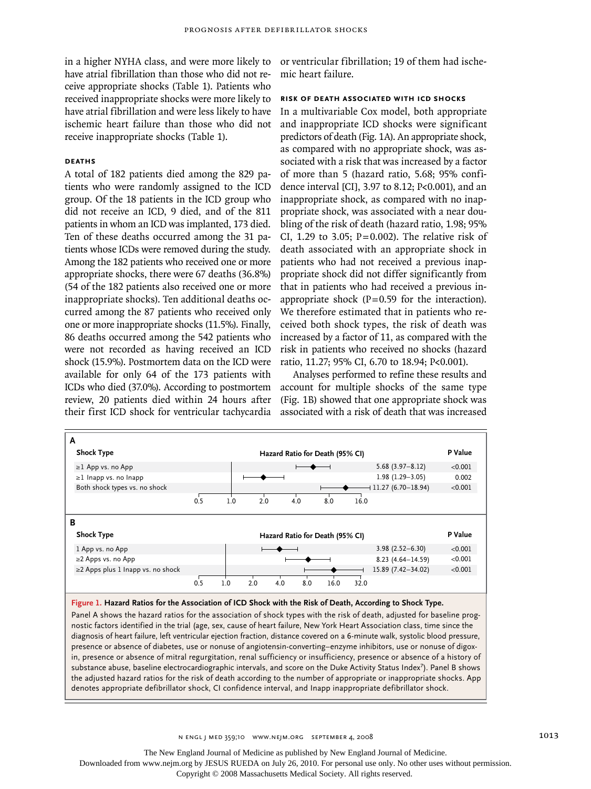have atrial fibrillation than those who did not receive appropriate shocks (Table 1). Patients who received inappropriate shocks were more likely to have atrial fibrillation and were less likely to have ischemic heart failure than those who did not receive inappropriate shocks (Table 1).

# **Deaths**

A total of 182 patients died among the 829 patients who were randomly assigned to the ICD group. Of the 18 patients in the ICD group who did not receive an ICD, 9 died, and of the 811 patients in whom an ICD was implanted, 173 died. Ten of these deaths occurred among the 31 patients whose ICDs were removed during the study. Among the 182 patients who received one or more appropriate shocks, there were 67 deaths (36.8%) (54 of the 182 patients also received one or more inappropriate shocks). Ten additional deaths occurred among the 87 patients who received only one or more inappropriate shocks (11.5%). Finally, 86 deaths occurred among the 542 patients who were not recorded as having received an ICD shock (15.9%). Postmortem data on the ICD were available for only 64 of the 173 patients with ICDs who died (37.0%). According to postmortem review, 20 patients died within 24 hours after their first ICD shock for ventricular tachycardia

in a higher NYHA class, and were more likely to or ventricular fibrillation; 19 of them had ischemic heart failure.

# **Risk of Death Associated with ICD Shocks**

In a multivariable Cox model, both appropriate and inappropriate ICD shocks were significant predictors of death (Fig. 1A). An appropriate shock, as compared with no appropriate shock, was associated with a risk that was increased by a factor of more than 5 (hazard ratio, 5.68; 95% confidence interval [CI], 3.97 to 8.12; P<0.001), and an inappropriate shock, as compared with no inappropriate shock, was associated with a near doubling of the risk of death (hazard ratio, 1.98; 95% CI, 1.29 to 3.05;  $P=0.002$ ). The relative risk of death associated with an appropriate shock in patients who had not received a previous inappropriate shock did not differ significantly from that in patients who had received a previous inappropriate shock  $(P=0.59)$  for the interaction). We therefore estimated that in patients who received both shock types, the risk of death was increased by a factor of 11, as compared with the risk in patients who received no shocks (hazard ratio, 11.27; 95% CI, 6.70 to 18.94; P<0.001).

Analyses performed to refine these results and account for multiple shocks of the same type (Fig. 1B) showed that one appropriate shock was associated with a risk of death that was increased

| A                                                                                                         |     |     |     |     |     |                                 |      |                        |         |
|-----------------------------------------------------------------------------------------------------------|-----|-----|-----|-----|-----|---------------------------------|------|------------------------|---------|
| <b>Shock Type</b>                                                                                         |     |     |     |     |     | Hazard Ratio for Death (95% CI) |      |                        | P Value |
| $\geq$ 1 App vs. no App                                                                                   |     |     |     |     |     |                                 |      | $5.68(3.97 - 8.12)$    | < 0.001 |
| $\geq$ 1 Inapp vs. no Inapp                                                                               |     |     |     |     |     |                                 |      | $1.98(1.29 - 3.05)$    | 0.002   |
| Both shock types vs. no shock                                                                             |     |     |     |     |     |                                 |      | $+11.27(6.70 - 18.94)$ | < 0.001 |
|                                                                                                           | 0.5 | 1.0 | 2.0 |     | 4.0 | 8.0                             | 16.0 |                        |         |
| В                                                                                                         |     |     |     |     |     |                                 |      |                        |         |
| <b>Shock Type</b>                                                                                         |     |     |     |     |     | Hazard Ratio for Death (95% CI) |      |                        | P Value |
| 1 App vs. no App                                                                                          |     |     |     |     |     |                                 |      | $3.98(2.52 - 6.30)$    | < 0.001 |
| $\geq$ 2 Apps vs. no App                                                                                  |     |     |     |     |     |                                 |      | $8.23(4.64 - 14.59)$   | < 0.001 |
| $\geq$ 2 Apps plus 1 Inapp vs. no shock                                                                   |     |     |     |     |     |                                 |      | 15.89 (7.42-34.02)     | < 0.001 |
|                                                                                                           | 0.5 | 1.0 | 2.0 | 4.0 | 8.0 | 16.0                            | 32.0 |                        |         |
| Figure 1. Hazard Ratios for the Association of ICD Shock with the Risk of Death, According to Shock Type. |     |     |     |     |     |                                 |      |                        |         |

presence or absence of mitral regurgitation, renal sufficiency or insufficiency, presence or absence of a history of in, presence or absence of mitral regurgitation, renal sufficiency or insufficiency, presence or absence Panel A shows the hazard ratios for the association of shock types with the risk of death, adjusted for baseline prog-(age, sex, cause of heart failure, New York Heart Ass presence or absence of diabetes, use or nonuse of angiotensin-converting–enzyme inhibitors, use or nonuse of digoxdiagnosis of heart failure, left ventricular ejection fraction, distance covered on a 6-minute walk, systolic blood pressure, ni, presence or absence or minal regargitation, renar sametency or misametericy, presence or absence or a motor, or<br>substance abuse, baseline electrocardiographic intervals, and score on the Duke Activity Status Index<sup>7</sup>). the adjusted hazard ratios for the risk of death according to the number of appropriate or inappropriate shocks. App **Figure has been redrawn and type has been reset. Please check carefully.** denotes appropriate defibrillator shock, CI confidence interval, and Inapp inappropriate defibrillator shock. nostic factors identified in the trial (age, sex, cause of heart failure, New York Heart Association class, time since the

n engl j med 359;10 www.nejm.org september 4, 2008 1013

The New England Journal of Medicine as published by New England Journal of Medicine.

Downloaded from www.nejm.org by JESUS RUEDA on July 26, 2010. For personal use only. No other uses without permission.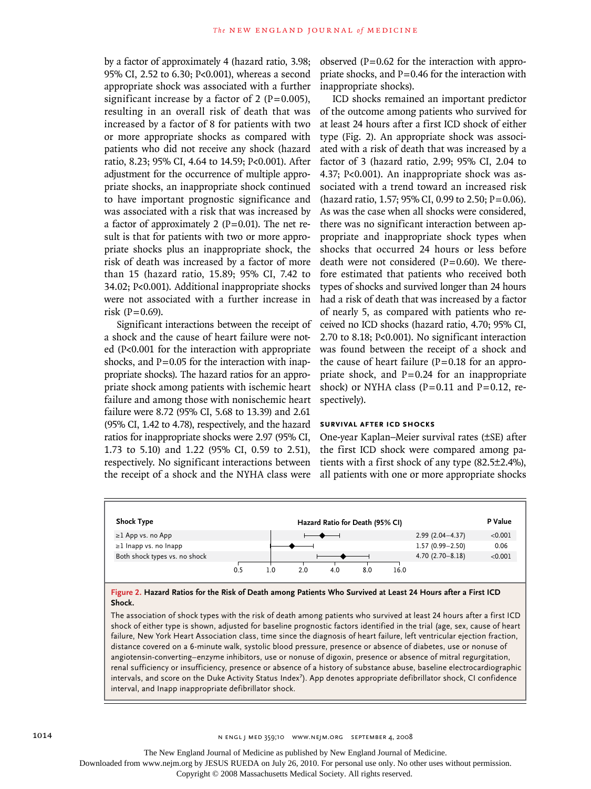by a factor of approximately 4 (hazard ratio, 3.98; 95% CI, 2.52 to 6.30; P<0.001), whereas a second appropriate shock was associated with a further significant increase by a factor of 2 ( $P = 0.005$ ), resulting in an overall risk of death that was increased by a factor of 8 for patients with two or more appropriate shocks as compared with patients who did not receive any shock (hazard ratio, 8.23; 95% CI, 4.64 to 14.59; P<0.001). After adjustment for the occurrence of multiple appropriate shocks, an inappropriate shock continued to have important prognostic significance and was associated with a risk that was increased by a factor of approximately 2 ( $P=0.01$ ). The net result is that for patients with two or more appropriate shocks plus an inappropriate shock, the risk of death was increased by a factor of more than 15 (hazard ratio, 15.89; 95% CI, 7.42 to 34.02; P<0.001). Additional inappropriate shocks were not associated with a further increase in risk ( $P = 0.69$ ).

Significant interactions between the receipt of a shock and the cause of heart failure were noted (P<0.001 for the interaction with appropriate shocks, and  $P=0.05$  for the interaction with inappropriate shocks). The hazard ratios for an appropriate shock among patients with ischemic heart failure and among those with nonischemic heart failure were 8.72 (95% CI, 5.68 to 13.39) and 2.61 (95% CI, 1.42 to 4.78), respectively, and the hazard ratios for inappropriate shocks were 2.97 (95% CI, 1.73 to 5.10) and 1.22 (95% CI, 0.59 to 2.51), respectively. No significant interactions between the receipt of a shock and the NYHA class were

observed  $(P=0.62$  for the interaction with appropriate shocks, and  $P=0.46$  for the interaction with inappropriate shocks).

ICD shocks remained an important predictor of the outcome among patients who survived for at least 24 hours after a first ICD shock of either type (Fig. 2). An appropriate shock was associated with a risk of death that was increased by a factor of 3 (hazard ratio, 2.99; 95% CI, 2.04 to 4.37; P<0.001). An inappropriate shock was associated with a trend toward an increased risk (hazard ratio, 1.57; 95% CI, 0.99 to 2.50; P=0.06). As was the case when all shocks were considered, there was no significant interaction between appropriate and inappropriate shock types when shocks that occurred 24 hours or less before death were not considered  $(P=0.60)$ . We therefore estimated that patients who received both types of shocks and survived longer than 24 hours had a risk of death that was increased by a factor of nearly 5, as compared with patients who received no ICD shocks (hazard ratio, 4.70; 95% CI, 2.70 to 8.18; P<0.001). No significant interaction was found between the receipt of a shock and the cause of heart failure  $(P=0.18$  for an appropriate shock, and  $P=0.24$  for an inappropriate shock) or NYHA class ( $P=0.11$  and  $P=0.12$ , respectively).

#### **Survival after ICD Shocks**

09-04-08

One-year Kaplan–Meier survival rates (±SE) after the first ICD shock were compared among patients with a first shock of any type (82.5±2.4%), all patients with one or more appropriate shocks



Poole **Figure 2. Hazard Ratios for the Risk of Death among Patients Who Survived at Least 24 Hours after a First ICD Shock.**

distance covered on a 6-minute walk, systolic blood pressure, presence or absence of diabetes, use or nonuse of The association of shock types with the risk of death among patients who survived at least 24 hours after a first ICD failure, New York Heart Association class, time since the diagnosis of heart failure, left ventricular ejection fraction, shock of either type is shown, adjusted for baseline prognostic factors identified in the trial (age, sex, cause of heart **AUTHOR, PLEASE NOTE: Figure has been redrawn and type has been reset.** renal sufficiency or insufficiency, presence or absence of a history of substance abuse, baseline electrocardiographic intervals, and score on the Duke Activity Status Index<sup>7</sup>). App denotes appropriate defibrillator shock, CI confidence angiotensin-converting–enzyme inhibitors, use or nonuse of digoxin, presence or absence of mitral regurgitation, interval, and Inapp inappropriate defibrillator shock.

35910 ISSUE EN 1992 EN 1993 EN 1993 EN 1993 EN 1993 EN 1993 EN 1993 EN 1993 EN 1993 EN 1993 EN 1993 EN 1993 EN<br>1993 EN 1993 EN 1993 EN 1993 EN 1993 EN 1993 EN 1993 EN 1993 EN 1993 EN 1993 EN 1993 EN 1993 EN 1993 EN 1993 E

The New England Journal of Medicine as published by New England Journal of Medicine.

JOB:

Downloaded from www.nejm.org by JESUS RUEDA on July 26, 2010. For personal use only. No other uses without permission.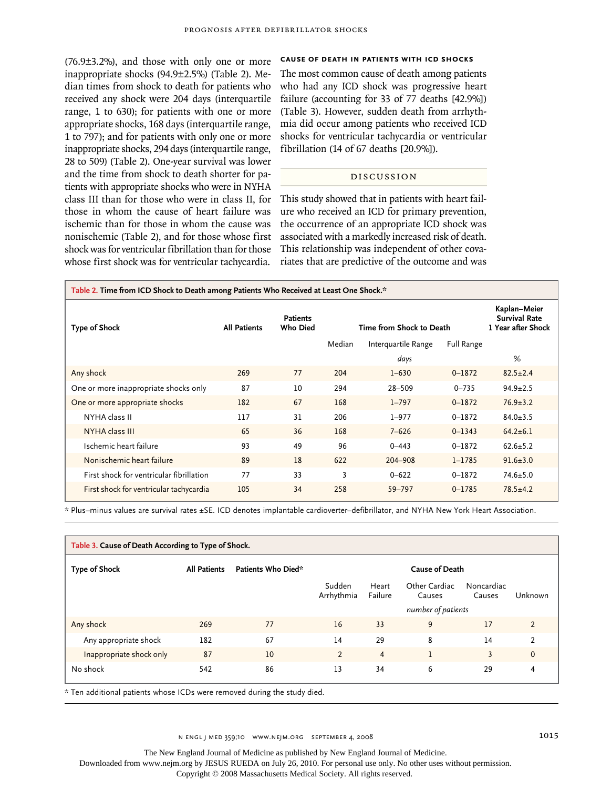(76.9±3.2%), and those with only one or more inappropriate shocks (94.9±2.5%) (Table 2). Median times from shock to death for patients who received any shock were 204 days (interquartile range, 1 to 630); for patients with one or more appropriate shocks, 168 days (interquartile range, 1 to 797); and for patients with only one or more inappropriate shocks, 294 days (interquartile range, 28 to 509) (Table 2). One-year survival was lower and the time from shock to death shorter for patients with appropriate shocks who were in NYHA class III than for those who were in class II, for those in whom the cause of heart failure was ischemic than for those in whom the cause was nonischemic (Table 2), and for those whose first shock was for ventricular fibrillation than for those whose first shock was for ventricular tachycardia.

#### **Cause of Death in Patients with ICD Shocks**

The most common cause of death among patients who had any ICD shock was progressive heart failure (accounting for 33 of 77 deaths [42.9%]) (Table 3). However, sudden death from arrhythmia did occur among patients who received ICD shocks for ventricular tachycardia or ventricular fibrillation (14 of 67 deaths [20.9%]).

#### Discussion

This study showed that in patients with heart failure who received an ICD for primary prevention, the occurrence of an appropriate ICD shock was associated with a markedly increased risk of death. This relationship was independent of other covariates that are predictive of the outcome and was

| Table 2. Time from ICD Shock to Death among Patients Who Received at Least One Shock.* |                     |                             |        |                          |                                                            |                |  |  |  |  |
|----------------------------------------------------------------------------------------|---------------------|-----------------------------|--------|--------------------------|------------------------------------------------------------|----------------|--|--|--|--|
| <b>Type of Shock</b>                                                                   | <b>All Patients</b> | <b>Patients</b><br>Who Died |        | Time from Shock to Death | Kaplan–Meier<br><b>Survival Rate</b><br>1 Year after Shock |                |  |  |  |  |
|                                                                                        |                     |                             | Median | Interquartile Range      | Full Range                                                 |                |  |  |  |  |
|                                                                                        |                     |                             |        | days                     |                                                            | %              |  |  |  |  |
| Any shock                                                                              | 269                 | 77                          | 204    | $1 - 630$                | $0 - 1872$                                                 | $82.5 \pm 2.4$ |  |  |  |  |
| One or more inappropriate shocks only                                                  | 87                  | 10                          | 294    | $28 - 509$               | $0 - 735$                                                  | $94.9 + 2.5$   |  |  |  |  |
| One or more appropriate shocks                                                         | 182                 | 67                          | 168    | $1 - 797$                | $0 - 1872$                                                 | $76.9 \pm 3.2$ |  |  |  |  |
| NYHA class II                                                                          | 117                 | 31                          | 206    | $1 - 977$                | $0 - 1872$                                                 | $84.0 \pm 3.5$ |  |  |  |  |
| NYHA class III                                                                         | 65                  | 36                          | 168    | $7 - 626$                | $0 - 1343$                                                 | $64.2 \pm 6.1$ |  |  |  |  |
| Ischemic heart failure                                                                 | 93                  | 49                          | 96     | $0 - 443$                | $0 - 1872$                                                 | $62.6 \pm 5.2$ |  |  |  |  |
| Nonischemic heart failure                                                              | 89                  | 18                          | 622    | 204-908                  | $1 - 1785$                                                 | $91.6 \pm 3.0$ |  |  |  |  |
| First shock for ventricular fibrillation                                               | 77                  | 33                          | 3      | $0 - 622$                | $0 - 1872$                                                 | $74.6 + 5.0$   |  |  |  |  |
| First shock for ventricular tachycardia                                                | 105                 | 34                          | 258    | 59-797                   | $0 - 1785$                                                 | $78.5 \pm 4.2$ |  |  |  |  |

\* Plus–minus values are survival rates ±SE. ICD denotes implantable cardioverter–defibrillator, and NYHA New York Heart Association.

| Type of Shock            | <b>All Patients</b> | Patients Who Died* |                      | <b>Cause of Death</b> |                         |                      |                |  |
|--------------------------|---------------------|--------------------|----------------------|-----------------------|-------------------------|----------------------|----------------|--|
|                          |                     |                    | Sudden<br>Arrhythmia | Heart<br>Failure      | Other Cardiac<br>Causes | Noncardiac<br>Causes | Unknown        |  |
|                          |                     |                    |                      |                       | number of patients      |                      |                |  |
| Any shock                | 269                 | 77                 | 16                   | 33                    | 9                       | 17                   | $\overline{2}$ |  |
| Any appropriate shock    | 182                 | 67                 | 14                   | 29                    | 8                       | 14                   | $\overline{2}$ |  |
| Inappropriate shock only | 87                  | 10                 | $\overline{2}$       | $\overline{4}$        | $\overline{1}$          | 3                    | $\mathbf{0}$   |  |
| No shock                 | 542                 | 86                 | 13                   | 34                    | 6                       | 29                   | 4              |  |

\* Ten additional patients whose ICDs were removed during the study died.

The New England Journal of Medicine as published by New England Journal of Medicine.

Downloaded from www.nejm.org by JESUS RUEDA on July 26, 2010. For personal use only. No other uses without permission.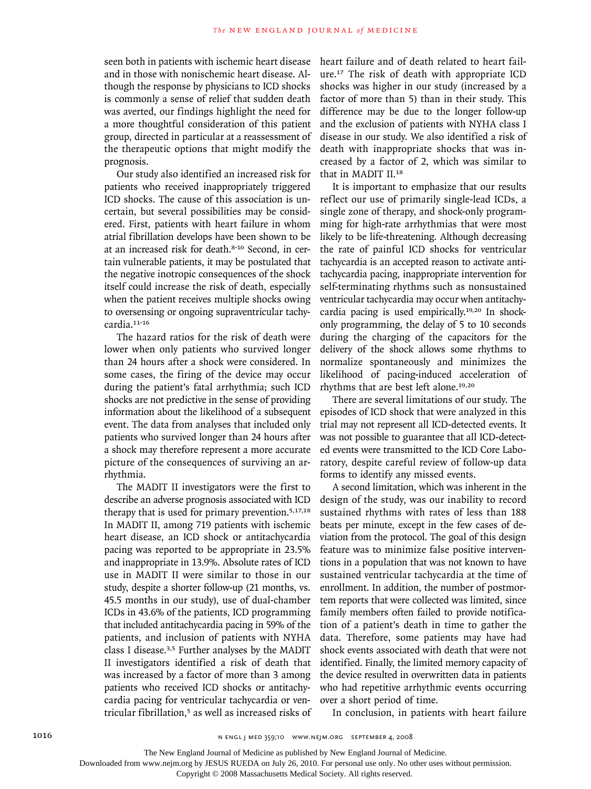seen both in patients with ischemic heart disease and in those with nonischemic heart disease. Although the response by physicians to ICD shocks is commonly a sense of relief that sudden death was averted, our findings highlight the need for a more thoughtful consideration of this patient group, directed in particular at a reassessment of the therapeutic options that might modify the prognosis.

Our study also identified an increased risk for patients who received inappropriately triggered ICD shocks. The cause of this association is uncertain, but several possibilities may be considered. First, patients with heart failure in whom atrial fibrillation develops have been shown to be at an increased risk for death.8-10 Second, in certain vulnerable patients, it may be postulated that the negative inotropic consequences of the shock itself could increase the risk of death, especially when the patient receives multiple shocks owing to oversensing or ongoing supraventricular tachycardia.11-16

The hazard ratios for the risk of death were lower when only patients who survived longer than 24 hours after a shock were considered. In some cases, the firing of the device may occur during the patient's fatal arrhythmia; such ICD shocks are not predictive in the sense of providing information about the likelihood of a subsequent event. The data from analyses that included only patients who survived longer than 24 hours after a shock may therefore represent a more accurate picture of the consequences of surviving an arrhythmia.

The MADIT II investigators were the first to describe an adverse prognosis associated with ICD therapy that is used for primary prevention.<sup>5,17,18</sup> In MADIT II, among 719 patients with ischemic heart disease, an ICD shock or antitachycardia pacing was reported to be appropriate in 23.5% and inappropriate in 13.9%. Absolute rates of ICD use in MADIT II were similar to those in our study, despite a shorter follow-up (21 months, vs. 45.5 months in our study), use of dual-chamber ICDs in 43.6% of the patients, ICD programming that included antitachycardia pacing in 59% of the patients, and inclusion of patients with NYHA class I disease.3,5 Further analyses by the MADIT II investigators identified a risk of death that was increased by a factor of more than 3 among patients who received ICD shocks or antitachycardia pacing for ventricular tachycardia or ventricular fibrillation,5 as well as increased risks of heart failure and of death related to heart failure.17 The risk of death with appropriate ICD shocks was higher in our study (increased by a factor of more than 5) than in their study. This difference may be due to the longer follow-up and the exclusion of patients with NYHA class I disease in our study. We also identified a risk of death with inappropriate shocks that was increased by a factor of 2, which was similar to that in MADIT II.<sup>18</sup>

It is important to emphasize that our results reflect our use of primarily single-lead ICDs, a single zone of therapy, and shock-only programming for high-rate arrhythmias that were most likely to be life-threatening. Although decreasing the rate of painful ICD shocks for ventricular tachycardia is an accepted reason to activate antitachycardia pacing, inappropriate intervention for self-terminating rhythms such as nonsustained ventricular tachycardia may occur when antitachycardia pacing is used empirically.19,20 In shockonly programming, the delay of 5 to 10 seconds during the charging of the capacitors for the delivery of the shock allows some rhythms to normalize spontaneously and minimizes the likelihood of pacing-induced acceleration of rhythms that are best left alone.19,20

There are several limitations of our study. The episodes of ICD shock that were analyzed in this trial may not represent all ICD-detected events. It was not possible to guarantee that all ICD-detected events were transmitted to the ICD Core Laboratory, despite careful review of follow-up data forms to identify any missed events.

A second limitation, which was inherent in the design of the study, was our inability to record sustained rhythms with rates of less than 188 beats per minute, except in the few cases of deviation from the protocol. The goal of this design feature was to minimize false positive interventions in a population that was not known to have sustained ventricular tachycardia at the time of enrollment. In addition, the number of postmortem reports that were collected was limited, since family members often failed to provide notification of a patient's death in time to gather the data. Therefore, some patients may have had shock events associated with death that were not identified. Finally, the limited memory capacity of the device resulted in overwritten data in patients who had repetitive arrhythmic events occurring over a short period of time.

In conclusion, in patients with heart failure

The New England Journal of Medicine as published by New England Journal of Medicine.

Downloaded from www.nejm.org by JESUS RUEDA on July 26, 2010. For personal use only. No other uses without permission.